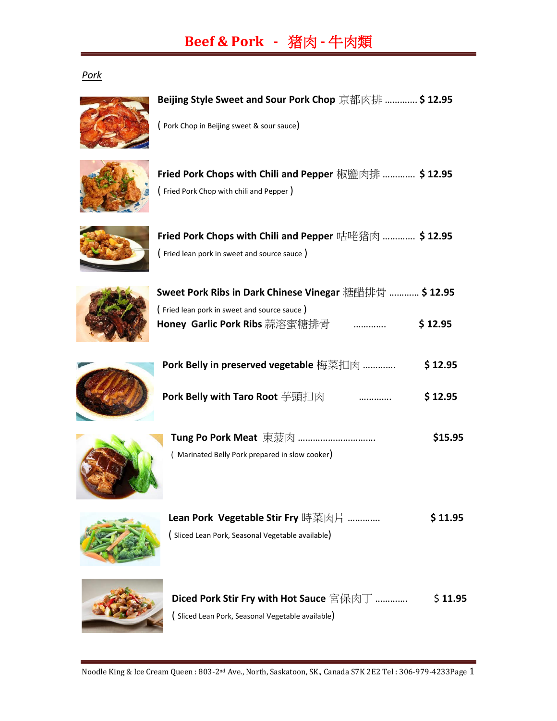# **Beef & Pork -** 猪肉 **-** 牛肉類

#### *Pork*



### **Beijing Style Sweet and Sour Pork Chop** 京都肉排 …………. **\$ 12.95**

( Pork Chop in Beijing sweet & sour sauce)







| Fried Pork Chops with Chili and Pepper 咕咾猪肉  \$ 12.95 |  |  |
|-------------------------------------------------------|--|--|
| (Fried lean pork in sweet and source sauce)           |  |  |



| Sweet Pork Ribs in Dark Chinese Vinegar 糖醋排骨  \$ 12.95 |             |
|--------------------------------------------------------|-------------|
| (Fried lean pork in sweet and source sauce)            |             |
| Honey Garlic Pork Ribs 蒜溶蜜糖排骨                          | <br>\$12.95 |



| Pork Belly in preserved vegetable 梅菜扣肉 |  | \$12.95 |
|----------------------------------------|--|---------|
| <b>Pork Belly with Taro Root</b> 芊頭扣肉  |  | \$12.95 |



|                                                | \$15.95 |
|------------------------------------------------|---------|
| (Marinated Belly Pork prepared in slow cooker) |         |



| Lean Pork Vegetable Stir Fry 時菜肉片                | \$11.95 |
|--------------------------------------------------|---------|
| (Sliced Lean Pork, Seasonal Vegetable available) |         |



| Diced Pork Stir Fry with Hot Sauce 宮保肉丁          | \$11.95 |
|--------------------------------------------------|---------|
| (Sliced Lean Pork, Seasonal Vegetable available) |         |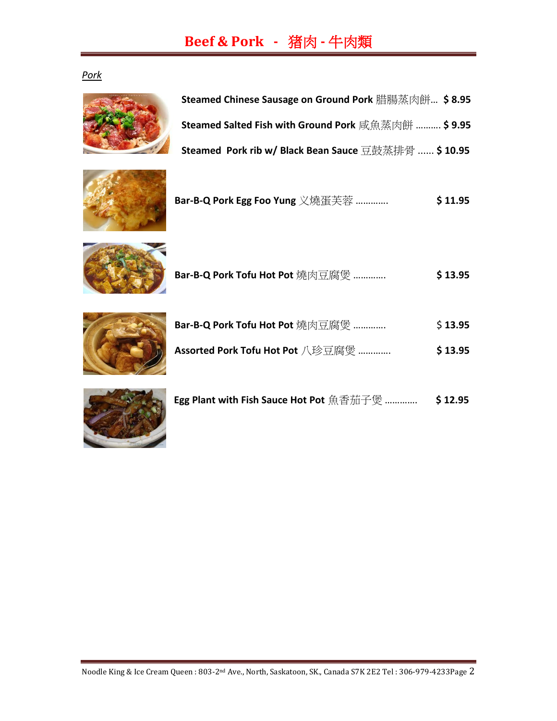### **Beef & Pork -** 猪肉 **-** 牛肉類

*Pork*







**Bar-B-Q Pork Egg Foo Yung** 义燒蛋芙蓉 …………. **\$ 11.95**



**Bar-B-Q Pork Tofu Hot Pot** 燒肉豆腐煲 …………. **\$ 13.95**

| Bar-B-Q Pork Tofu Hot Pot 燒肉豆腐煲  | \$13.95 |
|----------------------------------|---------|
| Assorted Pork Tofu Hot Pot 八珍豆腐煲 | \$13.95 |



| Egg Plant with Fish Sauce Hot Pot 魚香茄子煲  \$12.95 |  |
|--------------------------------------------------|--|
|                                                  |  |